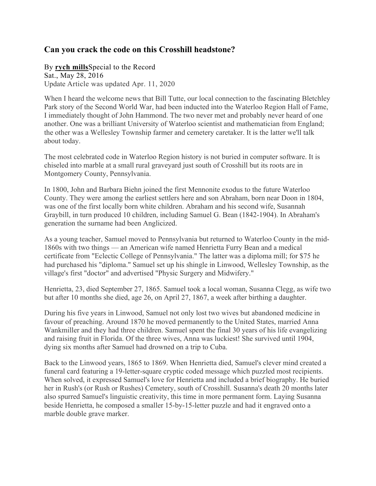## **Can you crack the code on this Crosshill headstone?**

By **rych mills**Special to the Record Sat., May 28, 2016 Update Article was updated Apr. 11, 2020

When I heard the welcome news that Bill Tutte, our local connection to the fascinating Bletchley Park story of the Second World War, had been inducted into the Waterloo Region Hall of Fame, I immediately thought of John Hammond. The two never met and probably never heard of one another. One was a brilliant University of Waterloo scientist and mathematician from England; the other was a Wellesley Township farmer and cemetery caretaker. It is the latter we'll talk about today.

The most celebrated code in Waterloo Region history is not buried in computer software. It is chiseled into marble at a small rural graveyard just south of Crosshill but its roots are in Montgomery County, Pennsylvania.

In 1800, John and Barbara Biehn joined the first Mennonite exodus to the future Waterloo County. They were among the earliest settlers here and son Abraham, born near Doon in 1804, was one of the first locally born white children. Abraham and his second wife, Susannah Graybill, in turn produced 10 children, including Samuel G. Bean (1842-1904). In Abraham's generation the surname had been Anglicized.

As a young teacher, Samuel moved to Pennsylvania but returned to Waterloo County in the mid-1860s with two things — an American wife named Henrietta Furry Bean and a medical certificate from "Eclectic College of Pennsylvania." The latter was a diploma mill; for \$75 he had purchased his "diploma." Samuel set up his shingle in Linwood, Wellesley Township, as the village's first "doctor" and advertised "Physic Surgery and Midwifery."

Henrietta, 23, died September 27, 1865. Samuel took a local woman, Susanna Clegg, as wife two but after 10 months she died, age 26, on April 27, 1867, a week after birthing a daughter.

During his five years in Linwood, Samuel not only lost two wives but abandoned medicine in favour of preaching. Around 1870 he moved permanently to the United States, married Anna Wankmiller and they had three children. Samuel spent the final 30 years of his life evangelizing and raising fruit in Florida. Of the three wives, Anna was luckiest! She survived until 1904, dying six months after Samuel had drowned on a trip to Cuba.

Back to the Linwood years, 1865 to 1869. When Henrietta died, Samuel's clever mind created a funeral card featuring a 19-letter-square cryptic coded message which puzzled most recipients. When solved, it expressed Samuel's love for Henrietta and included a brief biography. He buried her in Rush's (or Rush or Rushes) Cemetery, south of Crosshill. Susanna's death 20 months later also spurred Samuel's linguistic creativity, this time in more permanent form. Laying Susanna beside Henrietta, he composed a smaller 15-by-15-letter puzzle and had it engraved onto a marble double grave marker.